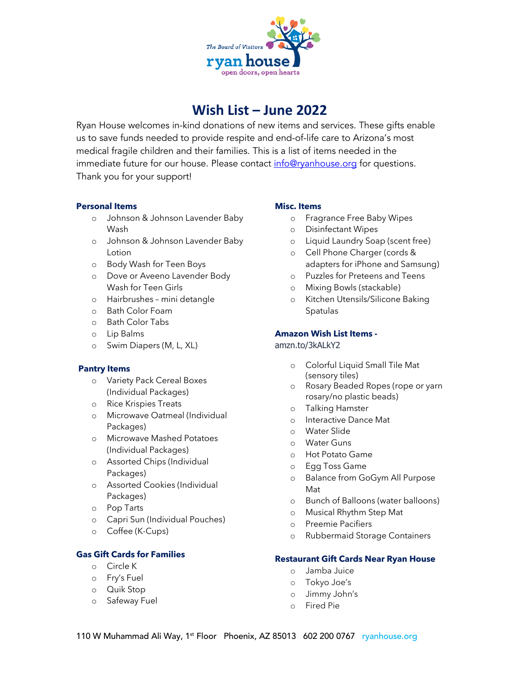

# **Wish List – June 2022**

Ryan House welcomes in-kind donations of new items and services. These gifts enable us to save funds needed to provide respite and end-of-life care to Arizona's most medical fragile children and their families. This is a list of items needed in the immediate future for our house. Please contact info@ryanhouse.org for questions. Thank you for your support!

## **Personal Items**

- o Johnson & Johnson Lavender Baby Wash
- o Johnson & Johnson Lavender Baby Lotion
- o Body Wash for Teen Boys
- o Dove or Aveeno Lavender Body Wash for Teen Girls
- o Hairbrushes mini detangle
- o Bath Color Foam
- o Bath Color Tabs
- o Lip Balms
- o Swim Diapers (M, L, XL)

### **Pantry Items**

- o Variety Pack Cereal Boxes (Individual Packages)
- o Rice Krispies Treats
- o Microwave Oatmeal (Individual Packages)
- o Microwave Mashed Potatoes (Individual Packages)
- o Assorted Chips (Individual Packages)
- o Assorted Cookies (Individual Packages)
- o Pop Tarts
- o Capri Sun (Individual Pouches)
- o Coffee (K-Cups)

# **Gas Gift Cards for Families**

- o Circle K
- o Fry's Fuel
- o Quik Stop
- o Safeway Fuel

# **Misc. Items**

- o Fragrance Free Baby Wipes
- o Disinfectant Wipes
- o Liquid Laundry Soap (scent free)
- o Cell Phone Charger (cords & adapters for iPhone and Samsung)
- o Puzzles for Preteens and Teens
- o Mixing Bowls (stackable)
- o Kitchen Utensils/Silicone Baking **Spatulas**

# **Amazon Wish List Items -**

### amzn.to/3kALkY2

- o Colorful Liquid Small Tile Mat (sensory tiles)
- o Rosary Beaded Ropes (rope or yarn rosary/no plastic beads)
- o Talking Hamster
- o Interactive Dance Mat
- o Water Slide
- o Water Guns
- o Hot Potato Game
- o Egg Toss Game
- o Balance from GoGym All Purpose Mat
- o Bunch of Balloons (water balloons)
- o Musical Rhythm Step Mat
- o Preemie Pacifiers
- o Rubbermaid Storage Containers

# **Restaurant Gift Cards Near Ryan House**

- o Jamba Juice
- o Tokyo Joe's
- o Jimmy John's
- o Fired Pie